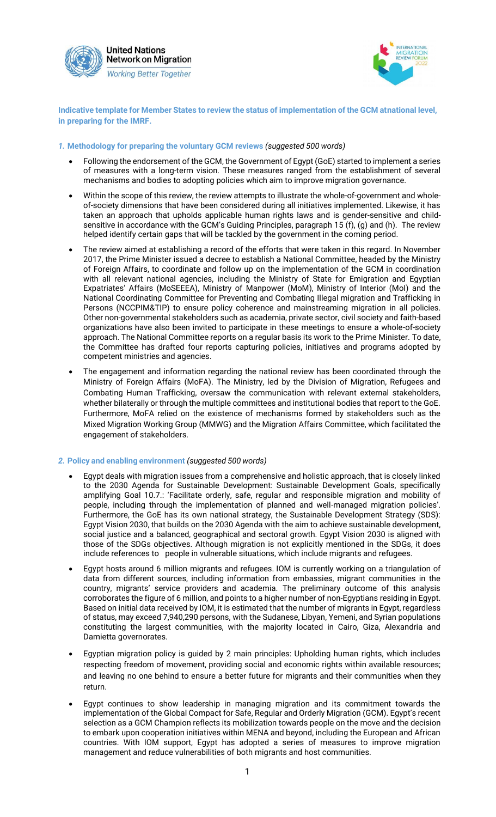

**United Nations Network on Migration Working Better Together** 



**Indicative template for Member States to review the status of implementation of the GCM atnational level, in preparing for the IMRF.**

## *1.* **Methodology for preparing the voluntary GCM reviews** *(suggested 500 words)*

- Following the endorsement of the GCM, the Government of Egypt (GoE) started to implement a series of measures with a long-term vision. These measures ranged from the establishment of several mechanisms and bodies to adopting policies which aim to improve migration governance.
- Within the scope of this review, the review attempts to illustrate the whole-of-government and wholeof-society dimensions that have been considered during all initiatives implemented. Likewise, it has taken an approach that upholds applicable human rights laws and is gender-sensitive and childsensitive in accordance with the GCM's Guiding Principles, paragraph 15 (f), (g) and (h). The review helped identify certain gaps that will be tackled by the government in the coming period.
- The review aimed at establishing a record of the efforts that were taken in this regard. In November 2017, the Prime Minister issued a decree to establish a National Committee, headed by the Ministry of Foreign Affairs, to coordinate and follow up on the implementation of the GCM in coordination with all relevant national agencies, including the Ministry of State for Emigration and Egyptian Expatriates' Affairs (MoSEEEA), Ministry of Manpower (MoM), Ministry of Interior (MoI) and the National Coordinating Committee for Preventing and Combating Illegal migration and Trafficking in Persons (NCCPIM&TIP) to ensure policy coherence and mainstreaming migration in all policies. Other non-governmental stakeholders such as academia, private sector, civil society and faith-based organizations have also been invited to participate in these meetings to ensure a whole-of-society approach. The National Committee reports on a regular basis its work to the Prime Minister. To date, the Committee has drafted four reports capturing policies, initiatives and programs adopted by competent ministries and agencies.
- The engagement and information regarding the national review has been coordinated through the Ministry of Foreign Affairs (MoFA). The Ministry, led by the Division of Migration, Refugees and Combating Human Trafficking, oversaw the communication with relevant external stakeholders, whether bilaterally or through the multiple committees and institutional bodies that report to the GoE. Furthermore, MoFA relied on the existence of mechanisms formed by stakeholders such as the Mixed Migration Working Group (MMWG) and the Migration Affairs Committee, which facilitated the engagement of stakeholders.

## *2.* **Policy and enabling environment** *(suggested 500 words)*

- Egypt deals with migration issues from a comprehensive and holistic approach, that is closely linked to the 2030 Agenda for Sustainable Development: Sustainable Development Goals, specifically amplifying Goal 10.7.: 'Facilitate orderly, safe, regular and responsible migration and mobility of people, including through the implementation of planned and well-managed migration policies'. Furthermore, the GoE has its own national strategy, the Sustainable Development Strategy (SDS): Egypt Vision 2030, that builds on the 2030 Agenda with the aim to achieve sustainable development, social justice and a balanced, geographical and sectoral growth. Egypt Vision 2030 is aligned with those of the SDGs objectives. Although migration is not explicitly mentioned in the SDGs, it does include references to people in vulnerable situations, which include migrants and refugees.
- Egypt hosts around 6 million migrants and refugees. IOM is currently working on a triangulation of data from different sources, including information from embassies, migrant communities in the country, migrants' service providers and academia. The preliminary outcome of this analysis corroborates the figure of 6 million, and points to a higher number of non-Egyptians residing in Egypt. Based on initial data received by IOM, it is estimated that the number of migrants in Egypt, regardless of status, may exceed 7,940,290 persons, with the Sudanese, Libyan, Yemeni, and Syrian populations constituting the largest communities, with the majority located in Cairo, Giza, Alexandria and Damietta governorates.
- Egyptian migration policy is guided by 2 main principles: Upholding human rights, which includes respecting freedom of movement, providing social and economic rights within available resources; and leaving no one behind to ensure a better future for migrants and their communities when they return.
- Egypt continues to show leadership in managing migration and its commitment towards the implementation of the Global Compact for Safe, Regular and Orderly Migration (GCM). Egypt's recent selection as a GCM Champion reflects its mobilization towards people on the move and the decision to embark upon cooperation initiatives within MENA and beyond, including the European and African countries. With IOM support, Egypt has adopted a series of measures to improve migration management and reduce vulnerabilities of both migrants and host communities.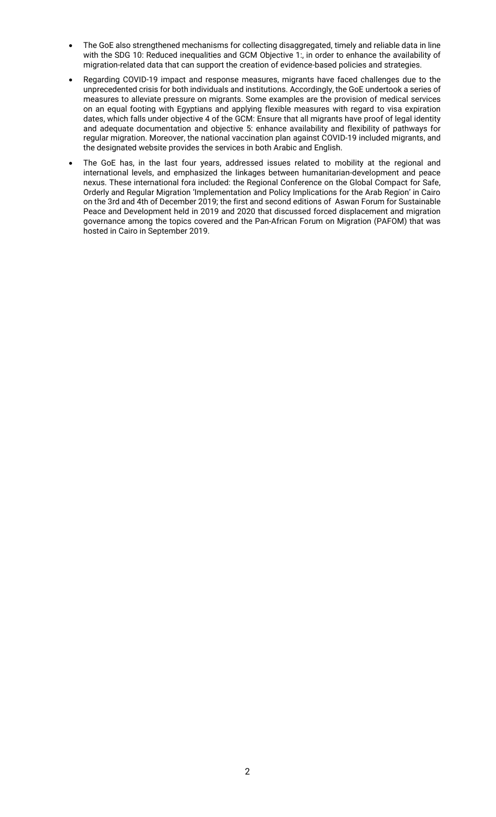- The GoE also strengthened mechanisms for collecting disaggregated, timely and reliable data in line with the SDG 10: Reduced inequalities and GCM Objective 1: in order to enhance the availability of migration-related data that can support the creation of evidence-based policies and strategies.
- Regarding COVID-19 impact and response measures, migrants have faced challenges due to the unprecedented crisis for both individuals and institutions. Accordingly, the GoE undertook a series of measures to alleviate pressure on migrants. Some examples are the provision of medical services on an equal footing with Egyptians and applying flexible measures with regard to visa expiration dates, which falls under objective 4 of the GCM: Ensure that all migrants have proof of legal identity and adequate documentation and objective 5: enhance availability and flexibility of pathways for regular migration. Moreover, the national vaccination plan against COVID-19 included migrants, and the designated website provides the services in both Arabic and English.
- The GoE has, in the last four years, addressed issues related to mobility at the regional and international levels, and emphasized the linkages between humanitarian-development and peace nexus. These international fora included: the Regional Conference on the Global Compact for Safe, Orderly and Regular Migration 'Implementation and Policy Implications for the Arab Region' in Cairo on the 3rd and 4th of December 2019; the first and second editions of Aswan Forum for Sustainable Peace and Development held in 2019 and 2020 that discussed forced displacement and migration governance among the topics covered and the Pan-African Forum on Migration (PAFOM) that was hosted in Cairo in September 2019.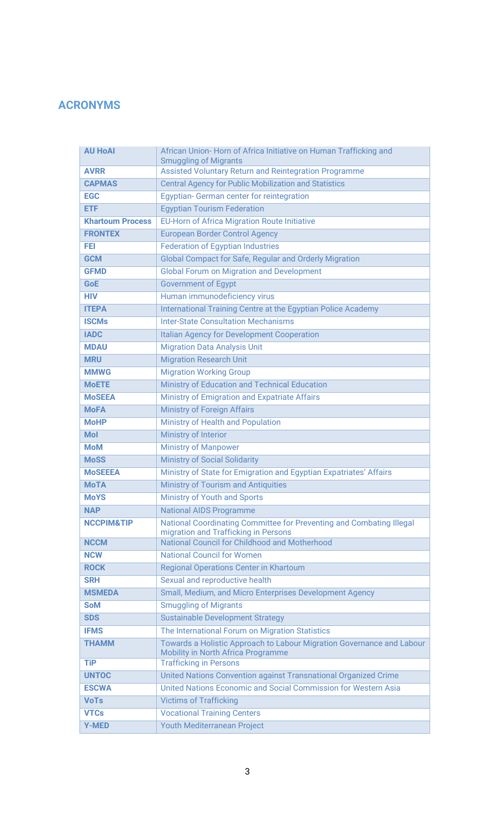# **ACRONYMS**

| <b>AU HoAI</b>          | African Union-Horn of Africa Initiative on Human Trafficking and<br><b>Smuggling of Migrants</b>                   |
|-------------------------|--------------------------------------------------------------------------------------------------------------------|
| <b>AVRR</b>             | Assisted Voluntary Return and Reintegration Programme                                                              |
| <b>CAPMAS</b>           | <b>Central Agency for Public Mobilization and Statistics</b>                                                       |
| <b>EGC</b>              | Egyptian- German center for reintegration                                                                          |
| <b>ETF</b>              | <b>Egyptian Tourism Federation</b>                                                                                 |
| <b>Khartoum Process</b> | <b>EU-Horn of Africa Migration Route Initiative</b>                                                                |
| <b>FRONTEX</b>          | <b>European Border Control Agency</b>                                                                              |
| <b>FEI</b>              | <b>Federation of Egyptian Industries</b>                                                                           |
| <b>GCM</b>              | Global Compact for Safe, Regular and Orderly Migration                                                             |
| <b>GFMD</b>             | <b>Global Forum on Migration and Development</b>                                                                   |
| <b>GoE</b>              | <b>Government of Egypt</b>                                                                                         |
| <b>HIV</b>              | Human immunodeficiency virus                                                                                       |
| <b>ITEPA</b>            | International Training Centre at the Egyptian Police Academy                                                       |
| <b>ISCMs</b>            | <b>Inter-State Consultation Mechanisms</b>                                                                         |
| <b>IADC</b>             | <b>Italian Agency for Development Cooperation</b>                                                                  |
| <b>MDAU</b>             | <b>Migration Data Analysis Unit</b>                                                                                |
| <b>MRU</b>              | <b>Migration Research Unit</b>                                                                                     |
| <b>MMWG</b>             | <b>Migration Working Group</b>                                                                                     |
| <b>MoETE</b>            | Ministry of Education and Technical Education                                                                      |
| <b>MoSEEA</b>           | <b>Ministry of Emigration and Expatriate Affairs</b>                                                               |
| <b>MoFA</b>             | <b>Ministry of Foreign Affairs</b>                                                                                 |
| <b>MoHP</b>             | Ministry of Health and Population                                                                                  |
| <b>Mol</b>              | Ministry of Interior                                                                                               |
| <b>MoM</b>              | <b>Ministry of Manpower</b>                                                                                        |
| <b>MoSS</b>             | <b>Ministry of Social Solidarity</b>                                                                               |
| <b>MoSEEEA</b>          | Ministry of State for Emigration and Egyptian Expatriates' Affairs                                                 |
| <b>MoTA</b>             | Ministry of Tourism and Antiquities                                                                                |
| <b>MoYS</b>             | <b>Ministry of Youth and Sports</b>                                                                                |
| <b>NAP</b>              | <b>National AIDS Programme</b>                                                                                     |
| <b>NCCPIM&amp;TIP</b>   | National Coordinating Committee for Preventing and Combating Illegal<br>migration and Trafficking in Persons       |
| <b>NCCM</b>             | National Council for Childhood and Motherhood                                                                      |
| <b>NCW</b>              | <b>National Council for Women</b>                                                                                  |
| <b>ROCK</b>             | Regional Operations Center in Khartoum                                                                             |
| <b>SRH</b>              | Sexual and reproductive health                                                                                     |
| <b>MSMEDA</b>           | Small, Medium, and Micro Enterprises Development Agency                                                            |
| <b>SoM</b>              | <b>Smuggling of Migrants</b>                                                                                       |
| <b>SDS</b>              | <b>Sustainable Development Strategy</b>                                                                            |
| <b>IFMS</b>             | The International Forum on Migration Statistics                                                                    |
| <b>THAMM</b>            | Towards a Holistic Approach to Labour Migration Governance and Labour<br><b>Mobility in North Africa Programme</b> |
| <b>TiP</b>              | <b>Trafficking in Persons</b>                                                                                      |
| <b>UNTOC</b>            | United Nations Convention against Transnational Organized Crime                                                    |
| <b>ESCWA</b>            | United Nations Economic and Social Commission for Western Asia                                                     |
| <b>VoTs</b>             | <b>Victims of Trafficking</b>                                                                                      |
| <b>VTCs</b>             | <b>Vocational Training Centers</b>                                                                                 |
| <b>Y-MED</b>            | Youth Mediterranean Project                                                                                        |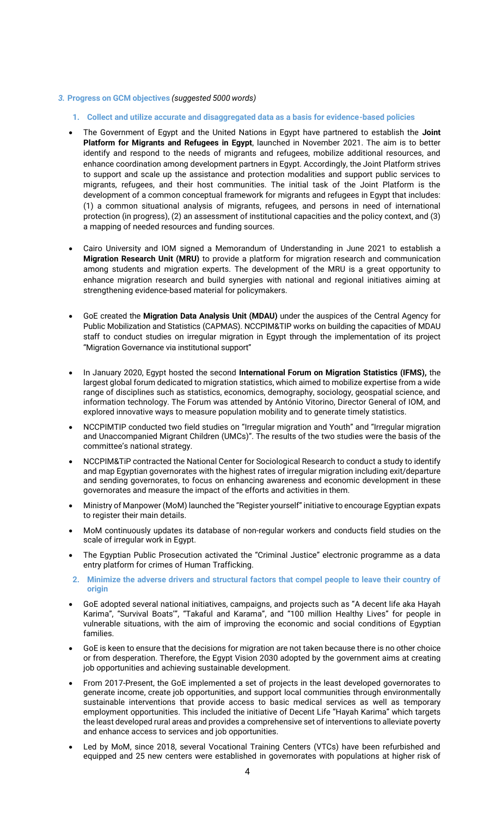#### *3.* **Progress on GCM objectives** *(suggested 5000 words)*

- **1. Collect and utilize accurate and disaggregated data as a basis for evidence-based policies**
- The Government of Egypt and the United Nations in Egypt have partnered to establish the **Joint Platform for Migrants and Refugees in Egypt**, launched in November 2021. The aim is to better identify and respond to the needs of migrants and refugees, mobilize additional resources, and enhance coordination among development partners in Egypt. Accordingly, the Joint Platform strives to support and scale up the assistance and protection modalities and support public services to migrants, refugees, and their host communities. The initial task of the Joint Platform is the development of a common conceptual framework for migrants and refugees in Egypt that includes: (1) a common situational analysis of migrants, refugees, and persons in need of international protection (in progress), (2) an assessment of institutional capacities and the policy context, and (3) a mapping of needed resources and funding sources.
- Cairo University and IOM signed a Memorandum of Understanding in June 2021 to establish a **Migration Research Unit (MRU)** to provide a platform for migration research and communication among students and migration experts. The development of the MRU is a great opportunity to enhance migration research and build synergies with national and regional initiatives aiming at strengthening evidence-based material for policymakers.
- GoE created the **Migration Data Analysis Unit (MDAU)** under the auspices of the Central Agency for Public Mobilization and Statistics (CAPMAS). NCCPIM&TIP works on building the capacities of MDAU staff to conduct studies on irregular migration in Egypt through the implementation of its project "Migration Governance via institutional support"
- In January 2020, Egypt hosted the second **International Forum on Migration Statistics (IFMS),** the largest global forum dedicated to migration statistics, which aimed to mobilize expertise from a wide range of disciplines such as statistics, economics, demography, sociology, geospatial science, and information technology. The Forum was attended by António Vitorino, Director General of IOM, and explored innovative ways to measure population mobility and to generate timely statistics.
- NCCPIMTIP conducted two field studies on "Irregular migration and Youth" and "Irregular migration and Unaccompanied Migrant Children (UMCs)". The results of the two studies were the basis of the committee's national strategy.
- NCCPIM&TiP contracted the National Center for Sociological Research to conduct a study to identify and map Egyptian governorates with the highest rates of irregular migration including exit/departure and sending governorates, to focus on enhancing awareness and economic development in these governorates and measure the impact of the efforts and activities in them.
- Ministry of Manpower (MoM) launched the "Register yourself" initiative to encourage Egyptian expats to register their main details.
- MoM continuously updates its database of non-regular workers and conducts field studies on the scale of irregular work in Egypt.
- The Egyptian Public Prosecution activated the "Criminal Justice" electronic programme as a data entry platform for crimes of Human Trafficking.
- **2. Minimize the adverse drivers and structural factors that compel people to leave their country of origin**
- GoE adopted several national initiatives, campaigns, and projects such as "A decent life aka Hayah Karima", "Survival Boats'", "Takaful and Karama", and "100 million Healthy Lives" for people in vulnerable situations, with the aim of improving the economic and social conditions of Egyptian families.
- GoE is keen to ensure that the decisions for migration are not taken because there is no other choice or from desperation. Therefore, the Egypt Vision 2030 adopted by the government aims at creating job opportunities and achieving sustainable development.
- From 2017-Present, the GoE implemented a set of projects in the least developed governorates to generate income, create job opportunities, and support local communities through environmentally sustainable interventions that provide access to basic medical services as well as temporary employment opportunities. This included the initiative of Decent Life "Hayah Karima" which targets the least developed rural areas and provides a comprehensive set of interventions to alleviate poverty and enhance access to services and job opportunities.
- Led by MoM, since 2018, several Vocational Training Centers (VTCs) have been refurbished and equipped and 25 new centers were established in governorates with populations at higher risk of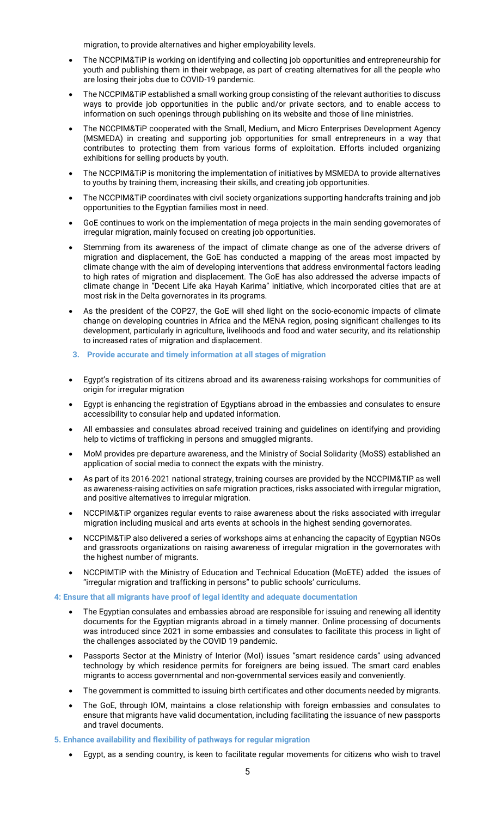migration, to provide alternatives and higher employability levels.

- The NCCPIM&TiP is working on identifying and collecting job opportunities and entrepreneurship for youth and publishing them in their webpage, as part of creating alternatives for all the people who are losing their jobs due to COVID-19 pandemic.
- The NCCPIM&TiP established a small working group consisting of the relevant authorities to discuss ways to provide job opportunities in the public and/or private sectors, and to enable access to information on such openings through publishing on its website and those of line ministries.
- The NCCPIM&TiP cooperated with the Small, Medium, and Micro Enterprises Development Agency (MSMEDA) in creating and supporting job opportunities for small entrepreneurs in a way that contributes to protecting them from various forms of exploitation. Efforts included organizing exhibitions for selling products by youth.
- The NCCPIM&TiP is monitoring the implementation of initiatives by MSMEDA to provide alternatives to youths by training them, increasing their skills, and creating job opportunities.
- The NCCPIM&TiP coordinates with civil society organizations supporting handcrafts training and job opportunities to the Egyptian families most in need.
- GoE continues to work on the implementation of mega projects in the main sending governorates of irregular migration, mainly focused on creating job opportunities.
- Stemming from its awareness of the impact of climate change as one of the adverse drivers of migration and displacement, the GoE has conducted a mapping of the areas most impacted by climate change with the aim of developing interventions that address environmental factors leading to high rates of migration and displacement. The GoE has also addressed the adverse impacts of climate change in "Decent Life aka Hayah Karima" initiative, which incorporated cities that are at most risk in the Delta governorates in its programs.
- As the president of the COP27, the GoE will shed light on the socio-economic impacts of climate change on developing countries in Africa and the MENA region, posing significant challenges to its development, particularly in agriculture, livelihoods and food and water security, and its relationship to increased rates of migration and displacement.
- **3. Provide accurate and timely information at all stages of migration**
- Egypt's registration of its citizens abroad and its awareness-raising workshops for communities of origin for irregular migration
- Egypt is enhancing the registration of Egyptians abroad in the embassies and consulates to ensure accessibility to consular help and updated information.
- All embassies and consulates abroad received training and guidelines on identifying and providing help to victims of trafficking in persons and smuggled migrants.
- MoM provides pre-departure awareness, and the Ministry of Social Solidarity (MoSS) established an application of social media to connect the expats with the ministry.
- As part of its 2016-2021 national strategy, training courses are provided by the NCCPIM&TIP as well as awareness-raising activities on safe migration practices, risks associated with irregular migration, and positive alternatives to irregular migration.
- NCCPIM&TiP organizes regular events to raise awareness about the risks associated with irregular migration including musical and arts events at schools in the highest sending governorates.
- NCCPIM&TiP also delivered a series of workshops aims at enhancing the capacity of Egyptian NGOs and grassroots organizations on raising awareness of irregular migration in the governorates with the highest number of migrants.
- NCCPIMTIP with the Ministry of Education and Technical Education (MoETE) added the issues of "irregular migration and trafficking in persons" to public schools' curriculums.

#### **4: Ensure that all migrants have proof of legal identity and adequate documentation**

- The Egyptian consulates and embassies abroad are responsible for issuing and renewing all identity documents for the Egyptian migrants abroad in a timely manner. Online processing of documents was introduced since 2021 in some embassies and consulates to facilitate this process in light of the challenges associated by the COVID 19 pandemic.
- Passports Sector at the Ministry of Interior (MoI) issues "smart residence cards" using advanced technology by which residence permits for foreigners are being issued. The smart card enables migrants to access governmental and non-governmental services easily and conveniently.
- The government is committed to issuing birth certificates and other documents needed by migrants.
- The GoE, through IOM, maintains a close relationship with foreign embassies and consulates to ensure that migrants have valid documentation, including facilitating the issuance of new passports and travel documents.
- **5. Enhance availability and flexibility of pathways for regular migration** 
	- Egypt, as a sending country, is keen to facilitate regular movements for citizens who wish to travel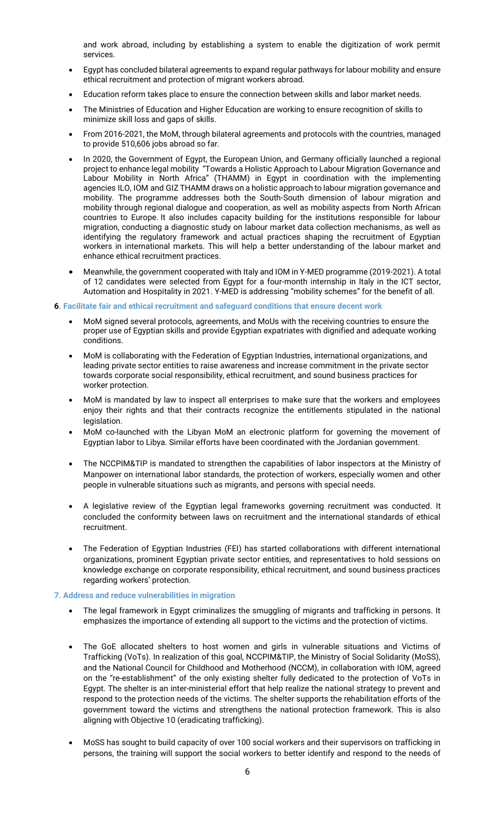and work abroad, including by establishing a system to enable the digitization of work permit services.

- Egypt has concluded bilateral agreements to expand regular pathways for labour mobility and ensure ethical recruitment and protection of migrant workers abroad.
- Education reform takes place to ensure the connection between skills and labor market needs.
- The Ministries of Education and Higher Education are working to ensure recognition of skills to minimize skill loss and gaps of skills.
- From 2016-2021, the MoM, through bilateral agreements and protocols with the countries, managed to provide 510,606 jobs abroad so far.
- In 2020, the Government of Egypt, the European Union, and Germany officially launched a regional project to enhance legal mobility "Towards a Holistic Approach to Labour Migration Governance and Labour Mobility in North Africa" (THAMM) in Egypt in coordination with the implementing agencies ILO, IOM and GIZ THAMM draws on a holistic approach to labour migration governance and mobility. The programme addresses both the South-South dimension of labour migration and mobility through regional dialogue and cooperation, as well as mobility aspects from North African countries to Europe. It also includes capacity building for the institutions responsible for labour migration, conducting a diagnostic study on labour market data collection mechanisms, as well as identifying the regulatory framework and actual practices shaping the recruitment of Egyptian workers in international markets. This will help a better understanding of the labour market and enhance ethical recruitment practices.
- Meanwhile, the government cooperated with Italy and IOM in Y-MED programme (2019-2021). A total of 12 candidates were selected from Egypt for a four-month internship in Italy in the ICT sector, Automation and Hospitality in 2021. Y-MED is addressing "mobility schemes" for the benefit of all.
- **6. Facilitate fair and ethical recruitment and safeguard conditions that ensure decent work** 
	- MoM signed several protocols, agreements, and MoUs with the receiving countries to ensure the proper use of Egyptian skills and provide Egyptian expatriates with dignified and adequate working conditions.
	- MoM is collaborating with the Federation of Egyptian Industries, international organizations, and leading private sector entities to raise awareness and increase commitment in the private sector towards corporate social responsibility, ethical recruitment, and sound business practices for worker protection.
	- MoM is mandated by law to inspect all enterprises to make sure that the workers and employees enjoy their rights and that their contracts recognize the entitlements stipulated in the national legislation.
	- MoM co-launched with the Libyan MoM an electronic platform for governing the movement of Egyptian labor to Libya. Similar efforts have been coordinated with the Jordanian government.
	- The NCCPIM&TIP is mandated to strengthen the capabilities of labor inspectors at the Ministry of Manpower on international labor standards, the protection of workers, especially women and other people in vulnerable situations such as migrants, and persons with special needs.
	- A legislative review of the Egyptian legal frameworks governing recruitment was conducted. It concluded the conformity between laws on recruitment and the international standards of ethical recruitment.
	- The Federation of Egyptian Industries (FEI) has started collaborations with different international organizations, prominent Egyptian private sector entities, and representatives to hold sessions on knowledge exchange on corporate responsibility, ethical recruitment, and sound business practices regarding workers' protection.

#### **7. Address and reduce vulnerabilities in migration**

- The legal framework in Egypt criminalizes the smuggling of migrants and trafficking in persons. It emphasizes the importance of extending all support to the victims and the protection of victims.
- The GoE allocated shelters to host women and girls in vulnerable situations and Victims of Trafficking (VoTs). In realization of this goal, NCCPIM&TIP, the Ministry of Social Solidarity (MoSS), and the National Council for Childhood and Motherhood (NCCM), in collaboration with IOM, agreed on the "re-establishment" of the only existing shelter fully dedicated to the protection of VoTs in Egypt. The shelter is an inter-ministerial effort that help realize the national strategy to prevent and respond to the protection needs of the victims. The shelter supports the rehabilitation efforts of the government toward the victims and strengthens the national protection framework. This is also aligning with Objective 10 (eradicating trafficking).
- MoSS has sought to build capacity of over 100 social workers and their supervisors on trafficking in persons, the training will support the social workers to better identify and respond to the needs of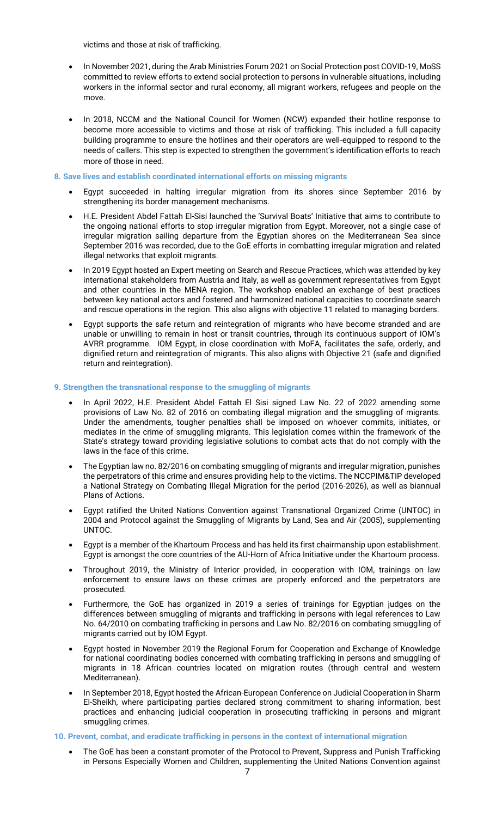victims and those at risk of trafficking.

- In November 2021, during the Arab Ministries Forum 2021 on Social Protection post COVID-19, MoSS committed to review efforts to extend social protection to persons in vulnerable situations, including workers in the informal sector and rural economy, all migrant workers, refugees and people on the move.
- In 2018, NCCM and the National Council for Women (NCW) expanded their hotline response to become more accessible to victims and those at risk of trafficking. This included a full capacity building programme to ensure the hotlines and their operators are well-equipped to respond to the needs of callers. This step is expected to strengthen the government's identification efforts to reach more of those in need.

#### **8. Save lives and establish coordinated international efforts on missing migrants**

- Egypt succeeded in halting irregular migration from its shores since September 2016 by strengthening its border management mechanisms.
- H.E. President Abdel Fattah El-Sisi launched the 'Survival Boats' Initiative that aims to contribute to the ongoing national efforts to stop irregular migration from Egypt. Moreover, not a single case of irregular migration sailing departure from the Egyptian shores on the Mediterranean Sea since September 2016 was recorded, due to the GoE efforts in combatting irregular migration and related illegal networks that exploit migrants.
- In 2019 Egypt hosted an Expert meeting on Search and Rescue Practices, which was attended by key international stakeholders from Austria and Italy, as well as government representatives from Egypt and other countries in the MENA region. The workshop enabled an exchange of best practices between key national actors and fostered and harmonized national capacities to coordinate search and rescue operations in the region. This also aligns with objective 11 related to managing borders.
- Egypt supports the safe return and reintegration of migrants who have become stranded and are unable or unwilling to remain in host or transit countries, through its continuous support of IOM's AVRR programme. IOM Egypt, in close coordination with MoFA, facilitates the safe, orderly, and dignified return and reintegration of migrants. This also aligns with Objective 21 (safe and dignified return and reintegration).

#### **9. Strengthen the transnational response to the smuggling of migrants**

- In April 2022, H.E. President Abdel Fattah El Sisi signed Law No. 22 of 2022 amending some provisions of Law No. 82 of 2016 on combating illegal migration and the smuggling of migrants. Under the amendments, tougher penalties shall be imposed on whoever commits, initiates, or mediates in the crime of smuggling migrants. This legislation comes within the framework of the State's strategy toward providing legislative solutions to combat acts that do not comply with the laws in the face of this crime.
- The Egyptian law no. 82/2016 on combating smuggling of migrants and irregular migration, punishes the perpetrators of this crime and ensures providing help to the victims. The NCCPIM&TIP developed a National Strategy on Combating Illegal Migration for the period (2016-2026), as well as biannual Plans of Actions.
- Egypt ratified the United Nations Convention against Transnational Organized Crime (UNTOC) in 2004 and Protocol against the Smuggling of Migrants by Land, Sea and Air (2005), supplementing UNTOC.
- Egypt is a member of the Khartoum Process and has held its first chairmanship upon establishment. Egypt is amongst the core countries of the AU-Horn of Africa Initiative under the Khartoum process.
- Throughout 2019, the Ministry of Interior provided, in cooperation with IOM, trainings on law enforcement to ensure laws on these crimes are properly enforced and the perpetrators are prosecuted.
- Furthermore, the GoE has organized in 2019 a series of trainings for Egyptian judges on the differences between smuggling of migrants and trafficking in persons with legal references to Law No. 64/2010 on combating trafficking in persons and Law No. 82/2016 on combating smuggling of migrants carried out by IOM Egypt.
- Egypt hosted in November 2019 the Regional Forum for Cooperation and Exchange of Knowledge for national coordinating bodies concerned with combating trafficking in persons and smuggling of migrants in 18 African countries located on migration routes (through central and western Mediterranean).
- In September 2018, Egypt hosted the African-European Conference on Judicial Cooperation in Sharm El-Sheikh, where participating parties declared strong commitment to sharing information, best practices and enhancing judicial cooperation in prosecuting trafficking in persons and migrant smuggling crimes.
- **10. Prevent, combat, and eradicate trafficking in persons in the context of international migration**
	- The GoE has been a constant promoter of the Protocol to Prevent, Suppress and Punish Trafficking in Persons Especially Women and Children, supplementing the United Nations Convention against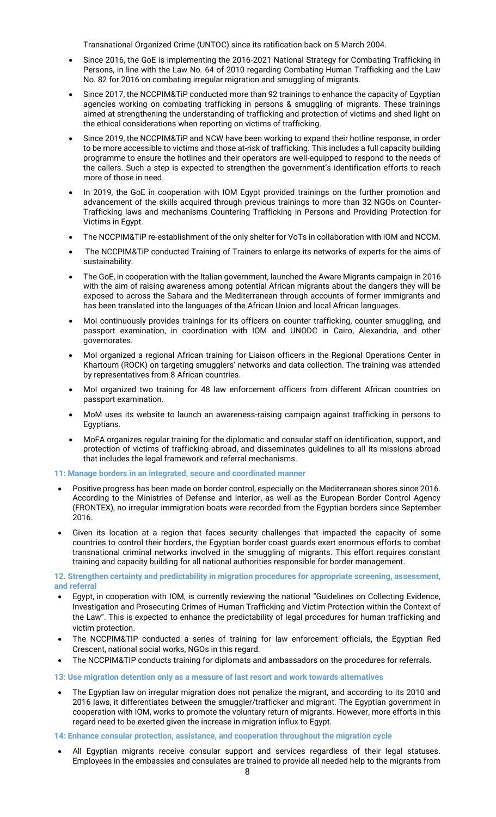Transnational Organized Crime (UNTOC) since its ratification back on 5 March 2004.

- Since 2016, the GoE is implementing the 2016-2021 National Strategy for Combating Trafficking in Persons, in line with the Law No. 64 of 2010 regarding Combating Human Trafficking and the Law No. 82 for 2016 on combating irregular migration and smuggling of migrants.
- Since 2017, the NCCPIM&TiP conducted more than 92 trainings to enhance the capacity of Egyptian agencies working on combating trafficking in persons & smuggling of migrants. These trainings aimed at strengthening the understanding of trafficking and protection of victims and shed light on the ethical considerations when reporting on victims of trafficking.
- Since 2019, the NCCPIM&TiP and NCW have been working to expand their hotline response, in order to be more accessible to victims and those at-risk of trafficking. This includes a full capacity building programme to ensure the hotlines and their operators are well-equipped to respond to the needs of the callers. Such a step is expected to strengthen the government's identification efforts to reach more of those in need.
- In 2019, the GoE in cooperation with IOM Egypt provided trainings on the further promotion and advancement of the skills acquired through previous trainings to more than 32 NGOs on Counter-Trafficking laws and mechanisms Countering Trafficking in Persons and Providing Protection for Victims in Egypt.
- The NCCPIM&TiP re-establishment of the only shelter for VoTs in collaboration with IOM and NCCM.
- The NCCPIM&TiP conducted Training of Trainers to enlarge its networks of experts for the aims of sustainability.
- The GoE, in cooperation with the Italian government, launched the Aware Migrants campaign in 2016 with the aim of raising awareness among potential African migrants about the dangers they will be exposed to across the Sahara and the Mediterranean through accounts of former immigrants and has been translated into the languages of the African Union and local African languages.
- MoI continuously provides trainings for its officers on counter trafficking, counter smuggling, and passport examination, in coordination with IOM and UNODC in Cairo, Alexandria, and other governorates.
- MoI organized a regional African training for Liaison officers in the Regional Operations Center in Khartoum (ROCK) on targeting smugglers' networks and data collection. The training was attended by representatives from 8 African countries.
- MoI organized two training for 48 law enforcement officers from different African countries on passport examination.
- MoM uses its website to launch an awareness-raising campaign against trafficking in persons to Egyptians.
- MoFA organizes regular training for the diplomatic and consular staff on identification, support, and protection of victims of trafficking abroad, and disseminates guidelines to all its missions abroad that includes the legal framework and referral mechanisms.

**11: Manage borders in an integrated, secure and coordinated manner**

- Positive progress has been made on border control, especially on the Mediterranean shores since 2016. According to the Ministries of Defense and Interior, as well as the European Border Control Agency (FRONTEX), no irregular immigration boats were recorded from the Egyptian borders since September 2016.
- Given its location at a region that faces security challenges that impacted the capacity of some countries to control their borders, the Egyptian border coast guards exert enormous efforts to combat transnational criminal networks involved in the smuggling of migrants. This effort requires constant training and capacity building for all national authorities responsible for border management.

**12. Strengthen certainty and predictability in migration procedures for appropriate screening, assessment, and referral** 

- Egypt, in cooperation with IOM, is currently reviewing the national "Guidelines on Collecting Evidence, Investigation and Prosecuting Crimes of Human Trafficking and Victim Protection within the Context of the Law". This is expected to enhance the predictability of legal procedures for human trafficking and victim protection.
- The NCCPIM&TIP conducted a series of training for law enforcement officials, the Egyptian Red Crescent, national social works, NGOs in this regard.
- The NCCPIM&TIP conducts training for diplomats and ambassadors on the procedures for referrals.

## **13: Use migration detention only as a measure of last resort and work towards alternatives**

• The Egyptian law on irregular migration does not penalize the migrant, and according to its 2010 and 2016 laws, it differentiates between the smuggler/trafficker and migrant. The Egyptian government in cooperation with IOM, works to promote the voluntary return of migrants. However, more efforts in this regard need to be exerted given the increase in migration influx to Egypt.

**14: Enhance consular protection, assistance, and cooperation throughout the migration cycle** 

All Egyptian migrants receive consular support and services regardless of their legal statuses. Employees in the embassies and consulates are trained to provide all needed help to the migrants from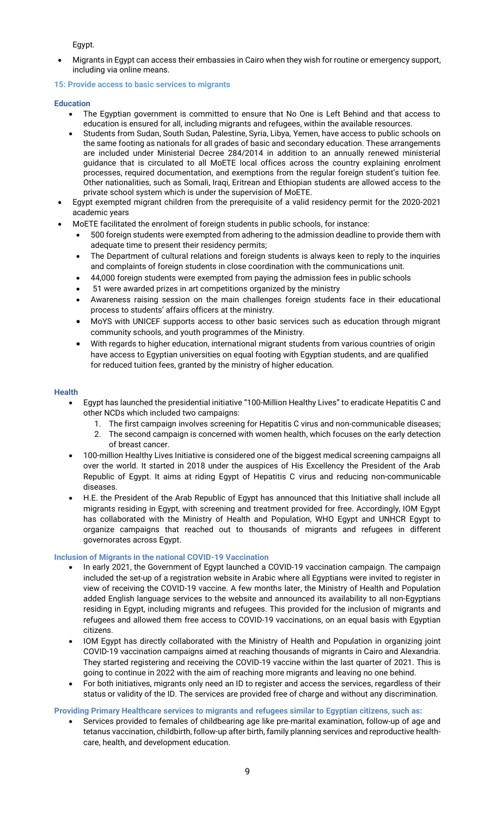Egypt.

• Migrants in Egypt can access their embassies in Cairo when they wish for routine or emergency support, including via online means.

## **15: Provide access to basic services to migrants**

#### **Education**

- The Egyptian government is committed to ensure that No One is Left Behind and that access to education is ensured for all, including migrants and refugees, within the available resources.
- Students from Sudan, South Sudan, Palestine, Syria, Libya, Yemen, have access to public schools on the same footing as nationals for all grades of basic and secondary education. These arrangements are included under Ministerial Decree 284/2014 in addition to an annually renewed ministerial guidance that is circulated to all MoETE local offices across the country explaining enrolment processes, required documentation, and exemptions from the regular foreign student's tuition fee. Other nationalities, such as Somali, Iraqi, Eritrean and Ethiopian students are allowed access to the private school system which is under the supervision of MoETE.
- Egypt exempted migrant children from the prerequisite of a valid residency permit for the 2020-2021 academic years
- MoETE facilitated the enrolment of foreign students in public schools, for instance:
	- 500 foreign students were exempted from adhering to the admission deadline to provide them with adequate time to present their residency permits;
	- The Department of cultural relations and foreign students is always keen to reply to the inquiries and complaints of foreign students in close coordination with the communications unit.
	- 44,000 foreign students were exempted from paying the admission fees in public schools
	- 51 were awarded prizes in art competitions organized by the ministry
	- Awareness raising session on the main challenges foreign students face in their educational process to students' affairs officers at the ministry.
	- MoYS with UNICEF supports access to other basic services such as education through migrant community schools, and youth programmes of the Ministry.
	- With regards to higher education, international migrant students from various countries of origin have access to Egyptian universities on equal footing with Egyptian students, and are qualified for reduced tuition fees, granted by the ministry of higher education.

#### **Healt[h](https://www.presidency.eg/en/%D8%A7%D9%84%D8%B1%D8%A6%D8%A7%D8%B3%D8%A9/%D9%85%D8%A8%D8%A7%D8%AF%D8%B1%D8%A9-%D8%B1%D8%A6%D9%8A%D8%B3-%D8%A7%D9%84%D8%AC%D9%85%D9%87%D9%88%D8%B1%D9%8A%D8%A9-%D9%84%D9%84%D9%82%D8%B6%D8%A7%D8%A1-%D8%B9%D9%84%D9%89-%D9%81%D9%8A%D8%B1%D9%88%D8%B3-%D8%B3%D9%8A-%D9%88%D8%A7%D9%84%D9%83%D8%B4%D9%81-%D8%B9%D9%86-%D8%A7%D9%84%D8%A3%D9%85%D8%B1%D8%A7%D8%B6-%D8%A7%D9%84%D8%BA%D9%8A%D8%B1-%D8%B3%D8%A7%D8%B1%D9%8A%D8%A9/)**

- Egypt has launched the presidential initiative "100-Million Healthy Lives" to eradicate Hepatitis C and other NCDs which included two campaigns:
	- 1. The first campaign involves screening for Hepatitis C virus and non-communicable diseases;
	- 2. The second campaign is concerned with women health, which focuses on the early detection of breast cancer.
- 100-million Healthy Lives Initiative is considered one of the biggest medical screening campaigns all over the world. It started in 2018 under the auspices of His Excellency the President of the Arab Republic of Egypt. It aims at riding Egypt of Hepatitis C virus and reducing non-communicable diseases.
- H.E. the President of the Arab Republic of Egypt has announced that this Initiative shall include all migrants residing in Egypt, with screening and treatment provided for free. Accordingly, IOM Egypt has collaborated with the Ministry of Health and Population, WHO Egypt and UNHCR Egypt to organize campaigns that reached out to thousands of migrants and refugees in different governorates across Egypt.

## **Inclusion of Migrants in the national COVID-19 Vaccination**

- In early 2021, the Government of Egypt launched a COVID-19 vaccination campaign. The campaign included the set-up of a registration website in Arabic where all Egyptians were invited to register in view of receiving the COVID-19 vaccine. A few months later, the Ministry of Health and Population added English language services to the website and announced its availability to all non-Egyptians residing in Egypt, including migrants and refugees. This provided for the inclusion of migrants and refugees and allowed them free access to COVID-19 vaccinations, on an equal basis with Egyptian citizens.
- IOM Egypt has directly collaborated with the Ministry of Health and Population in organizing joint COVID-19 vaccination campaigns aimed at reaching thousands of migrants in Cairo and Alexandria. They started registering and receiving the COVID-19 vaccine within the last quarter of 2021. This is going to continue in 2022 with the aim of reaching more migrants and leaving no one behind.
- For both initiatives, migrants only need an ID to register and access the services, regardless of their status or validity of the ID. The services are provided free of charge and without any discrimination.

## **Providing Primary Healthcare services to migrants and refugees similar to Egyptian citizens, such as:**

• Services provided to females of childbearing age like pre-marital examination, follow-up of age and tetanus vaccination, childbirth, follow-up after birth, family planning services and reproductive healthcare, health, and development education.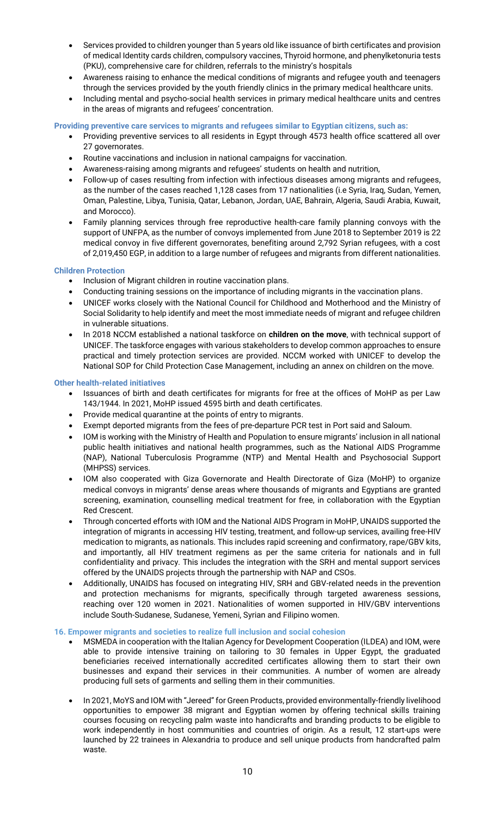- Services provided to children younger than 5 years old like issuance of birth certificates and provision of medical Identity cards children, compulsory vaccines, Thyroid hormone, and phenylketonuria tests (PKU), comprehensive care for children, referrals to the ministry's hospitals
- Awareness raising to enhance the medical conditions of migrants and refugee youth and teenagers through the services provided by the youth friendly clinics in the primary medical healthcare units.
- Including mental and psycho-social health services in primary medical healthcare units and centres in the areas of migrants and refugees' concentration.

## **Providing preventive care services to migrants and refugees similar to Egyptian citizens, such as:**

- Providing preventive services to all residents in Egypt through 4573 health office scattered all over 27 governorates.
- Routine vaccinations and inclusion in national campaigns for vaccination.
- Awareness-raising among migrants and refugees' students on health and nutrition,
- Follow-up of cases resulting from infection with infectious diseases among migrants and refugees, as the number of the cases reached 1,128 cases from 17 nationalities (i.e Syria, Iraq, Sudan, Yemen, Oman, Palestine, Libya, Tunisia, Qatar, Lebanon, Jordan, UAE, Bahrain, Algeria, Saudi Arabia, Kuwait, and Morocco).
- Family planning services through free reproductive health-care family planning convoys with the support of UNFPA, as the number of convoys implemented from June 2018 to September 2019 is 22 medical convoy in five different governorates, benefiting around 2,792 Syrian refugees, with a cost of 2,019,450 EGP, in addition to a large number of refugees and migrants from different nationalities.

## **Children Protection**

- Inclusion of Migrant children in routine vaccination plans.
- Conducting training sessions on the importance of including migrants in the vaccination plans.
- UNICEF works closely with the National Council for Childhood and Motherhood and the Ministry of Social Solidarity to help identify and meet the most immediate needs of migrant and refugee children in vulnerable situations.
- In 2018 NCCM established a national taskforce on **children on the move**, with technical support of UNICEF. The taskforce engages with various stakeholders to develop common approaches to ensure practical and timely protection services are provided. NCCM worked with UNICEF to develop the National SOP for Child Protection Case Management, including an annex on children on the move.

## **Other health-related initiatives**

- Issuances of birth and death certificates for migrants for free at the offices of MoHP as per Law 143/1944. In 2021, MoHP issued 4595 birth and death certificates.
- Provide medical quarantine at the points of entry to migrants.
- Exempt deported migrants from the fees of pre-departure PCR test in Port said and Saloum.
- IOM is working with the Ministry of Health and Population to ensure migrants' inclusion in all national public health initiatives and national health programmes, such as the National AIDS Programme (NAP), National Tuberculosis Programme (NTP) and Mental Health and Psychosocial Support (MHPSS) services.
- IOM also cooperated with Giza Governorate and Health Directorate of Giza (MoHP) to organize medical convoys in migrants' dense areas where thousands of migrants and Egyptians are granted screening, examination, counselling medical treatment for free, in collaboration with the Egyptian Red Crescent.
- Through concerted efforts with IOM and the National AIDS Program in MoHP, UNAIDS supported the integration of migrants in accessing HIV testing, treatment, and follow-up services, availing free-HIV medication to migrants, as nationals. This includes rapid screening and confirmatory, rape/GBV kits, and importantly, all HIV treatment regimens as per the same criteria for nationals and in full confidentiality and privacy. This includes the integration with the SRH and mental support services offered by the UNAIDS projects through the partnership with NAP and CSOs.
- Additionally, UNAIDS has focused on integrating HIV, SRH and GBV-related needs in the prevention and protection mechanisms for migrants, specifically through targeted awareness sessions, reaching over 120 women in 2021. Nationalities of women supported in HIV/GBV interventions include South-Sudanese, Sudanese, Yemeni, Syrian and Filipino women.

## **16. Empower migrants and societies to realize full inclusion and social cohesion**

- MSMEDA in cooperation with the Italian Agency for Development Cooperation (ILDEA) and IOM, were able to provide intensive training on tailoring to 30 females in Upper Egypt, the graduated beneficiaries received internationally accredited certificates allowing them to start their own businesses and expand their services in their communities. A number of women are already producing full sets of garments and selling them in their communities.
- In 2021, MoYS and IOM with "Jereed" for Green Products, provided environmentally-friendly livelihood opportunities to empower 38 migrant and Egyptian women by offering technical skills training courses focusing on recycling palm waste into handicrafts and branding products to be eligible to work independently in host communities and countries of origin. As a result, 12 start-ups were launched by 22 trainees in Alexandria to produce and sell unique products from handcrafted palm waste.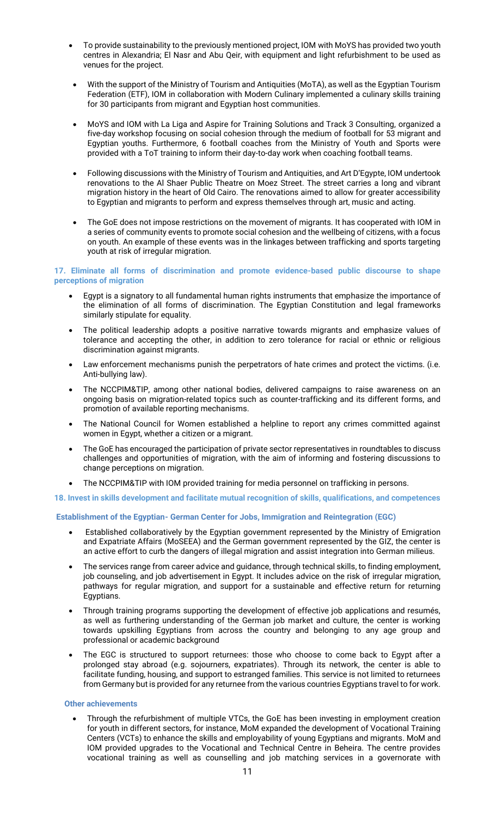- To provide sustainability to the previously mentioned project, IOM with MoYS has provided two youth centres in Alexandria; El Nasr and Abu Qeir, with equipment and light refurbishment to be used as venues for the project.
- With the support of the Ministry of Tourism and Antiquities (MoTA), as well as the Egyptian Tourism Federation (ETF), IOM in collaboration with Modern Culinary implemented a culinary skills training for 30 participants from migrant and Egyptian host communities.
- MoYS and IOM with La Liga and Aspire for Training Solutions and Track 3 Consulting, organized a five-day workshop focusing on social cohesion through the medium of football for 53 migrant and Egyptian youths. Furthermore, 6 football coaches from the Ministry of Youth and Sports were provided with a ToT training to inform their day-to-day work when coaching football teams.
- Following discussions with the Ministry of Tourism and Antiquities, and Art D'Egypte, IOM undertook renovations to the Al Shaer Public Theatre on Moez Street. The street carries a long and vibrant migration history in the heart of Old Cairo. The renovations aimed to allow for greater accessibility to Egyptian and migrants to perform and express themselves through art, music and acting.
- The GoE does not impose restrictions on the movement of migrants. It has cooperated with IOM in a series of community events to promote social cohesion and the wellbeing of citizens, with a focus on youth. An example of these events was in the linkages between trafficking and sports targeting youth at risk of irregular migration.

#### **17. Eliminate all forms of discrimination and promote evidence-based public discourse to shape perceptions of migration**

- Egypt is a signatory to all fundamental human rights instruments that emphasize the importance of the elimination of all forms of discrimination. The Egyptian Constitution and legal frameworks similarly stipulate for equality.
- The political leadership adopts a positive narrative towards migrants and emphasize values of tolerance and accepting the other, in addition to zero tolerance for racial or ethnic or religious discrimination against migrants.
- Law enforcement mechanisms punish the perpetrators of hate crimes and protect the victims. (i.e. Anti-bullying law).
- The NCCPIM&TIP, among other national bodies, delivered campaigns to raise awareness on an ongoing basis on migration-related topics such as counter-trafficking and its different forms, and promotion of available reporting mechanisms.
- The National Council for Women established a helpline to report any crimes committed against women in Egypt, whether a citizen or a migrant.
- The GoE has encouraged the participation of private sector representatives in roundtables to discuss challenges and opportunities of migration, with the aim of informing and fostering discussions to change perceptions on migration.
- The NCCPIM&TIP with IOM provided training for media personnel on trafficking in persons.

## **18. Invest in skills development and facilitate mutual recognition of skills, qualifications, and competences**

## **Establishment of the Egyptian- German Center for Jobs, Immigration and Reintegration (EGC)**

- Established collaboratively by the Egyptian government represented by the Ministry of Emigration and Expatriate Affairs (MoSEEA) and the German government represented by the GIZ, the center is an active effort to curb the dangers of illegal migration and assist integration into German milieus.
- The services range from career advice and guidance, through technical skills, to finding employment, job counseling, and job advertisement in Egypt. It includes advice on the risk of irregular migration, pathways for regular migration, and support for a sustainable and effective return for returning Egyptians.
- Through training programs supporting the development of effective job applications and resumés, as well as furthering understanding of the German job market and culture, the center is working towards upskilling Egyptians from across the country and belonging to any age group and professional or academic background
- The EGC is structured to support returnees: those who choose to come back to Egypt after a prolonged stay abroad (e.g. sojourners, expatriates). Through its network, the center is able to facilitate funding, housing, and support to estranged families. This service is not limited to returnees from Germany but is provided for any returnee from the various countries Egyptians travel to for work.

## **Other achievements**

• Through the refurbishment of multiple VTCs, the GoE has been investing in employment creation for youth in different sectors, for instance, MoM expanded the development of Vocational Training Centers (VCTs) to enhance the skills and employability of young Egyptians and migrants. MoM and IOM provided upgrades to the Vocational and Technical Centre in Beheira. The centre provides vocational training as well as counselling and job matching services in a governorate with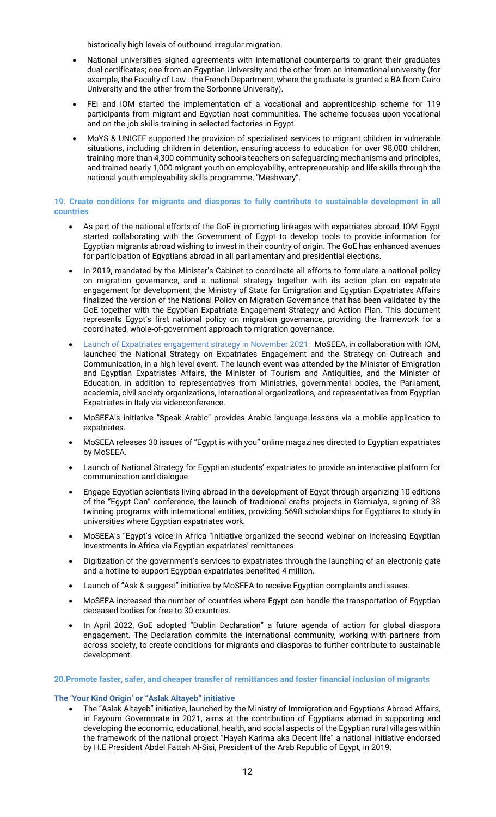historically high levels of outbound irregular migration.

- National universities signed agreements with international counterparts to grant their graduates dual certificates; one from an Egyptian University and the other from an international university (for example, the Faculty of Law - the French Department, where the graduate is granted a BA from Cairo University and the other from the Sorbonne University).
- FEI and IOM started the implementation of a vocational and apprenticeship scheme for 119 participants from migrant and Egyptian host communities. The scheme focuses upon vocational and on-the-job skills training in selected factories in Egypt.
- MoYS & UNICEF supported the provision of specialised services to migrant children in vulnerable situations, including children in detention, ensuring access to education for over 98,000 children, training more than 4,300 community schools teachers on safeguarding mechanisms and principles, and trained nearly 1,000 migrant youth on employability, entrepreneurship and life skills through the national youth employability skills programme, "Meshwary".

#### **19. Create conditions for migrants and diasporas to fully contribute to sustainable development in all countries**

- As part of the national efforts of the GoE in promoting linkages with expatriates abroad, IOM Egypt started collaborating with the Government of Egypt to develop tools to provide information for Egyptian migrants abroad wishing to invest in their country of origin. The GoE has enhanced avenues for participation of Egyptians abroad in all parliamentary and presidential elections.
- In 2019, mandated by the Minister's Cabinet to coordinate all efforts to formulate a national policy on migration governance, and a national strategy together with its action plan on expatriate engagement for development, the Ministry of State for Emigration and Egyptian Expatriates Affairs finalized the version of the National Policy on Migration Governance that has been validated by the GoE together with the Egyptian Expatriate Engagement Strategy and Action Plan. This document represents Egypt's first national policy on migration governance, providing the framework for a coordinated, whole-of-government approach to migration governance.
- Launch of Expatriates engagement strategy in November 2021: MoSEEA, in collaboration with IOM, launched the National Strategy on Expatriates Engagement and the Strategy on Outreach and Communication, in a high-level event. The launch event was attended by the Minister of Emigration and Egyptian Expatriates Affairs, the Minister of Tourism and Antiquities, and the Minister of Education, in addition to representatives from Ministries, governmental bodies, the Parliament, academia, civil society organizations, international organizations, and representatives from Egyptian Expatriates in Italy via videoconference.
- MoSEEA's initiative "Speak Arabic" provides Arabic language lessons via a mobile application to expatriates.
- MoSEEA releases 30 issues of "Egypt is with you" online magazines directed to Egyptian expatriates by MoSEEA.
- Launch of National Strategy for Egyptian students' expatriates to provide an interactive platform for communication and dialogue.
- Engage Egyptian scientists living abroad in the development of Egypt through organizing 10 editions of the "Egypt Can" conference, the launch of traditional crafts projects in Gamialya, signing of 38 twinning programs with international entities, providing 5698 scholarships for Egyptians to study in universities where Egyptian expatriates work.
- MoSEEA's "Egypt's voice in Africa "initiative organized the second webinar on increasing Egyptian investments in Africa via Egyptian expatriates' remittances.
- Digitization of the government's services to expatriates through the launching of an electronic gate and a hotline to support Egyptian expatriates benefited 4 million.
- Launch of "Ask & suggest" initiative by MoSEEA to receive Egyptian complaints and issues.
- MoSEEA increased the number of countries where Egypt can handle the transportation of Egyptian deceased bodies for free to 30 countries.
- In April 2022, GoE adopted "Dublin Declaration" a future agenda of action for global diaspora engagement. The Declaration commits the international community, working with partners from across society, to create conditions for migrants and diasporas to further contribute to sustainable development.

#### **20.Promote faster, safer, and cheaper transfer of remittances and foster financial inclusion of migrants**

#### **The 'Your Kind Origin' or "Aslak Altayeb" initiative**

• The "Aslak Altayeb" initiative, launched by the Ministry of Immigration and Egyptians Abroad Affairs, in Fayoum Governorate in 2021, aims at the contribution of Egyptians abroad in supporting and developing the economic, educational, health, and social aspects of the Egyptian rural villages within the framework of the national project "Hayah Karima aka Decent life" a national initiative endorsed by H.E President Abdel Fattah Al-Sisi, President of the Arab Republic of Egypt, in 2019.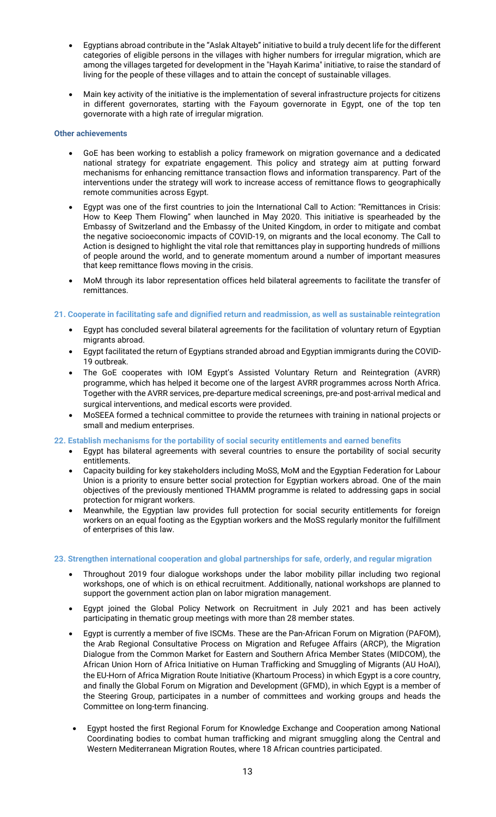- Egyptians abroad contribute in the "Aslak Altayeb" initiative to build a truly decent life for the different categories of eligible persons in the villages with higher numbers for irregular migration, which are among the villages targeted for development in the "Hayah Karima" initiative, to raise the standard of living for the people of these villages and to attain the concept of sustainable villages.
- Main key activity of the initiative is the implementation of several infrastructure projects for citizens in different governorates, starting with the Fayoum governorate in Egypt, one of the top ten governorate with a high rate of irregular migration.

#### **Other achievements**

- GoE has been working to establish a policy framework on migration governance and a dedicated national strategy for expatriate engagement. This policy and strategy aim at putting forward mechanisms for enhancing remittance transaction flows and information transparency. Part of the interventions under the strategy will work to increase access of remittance flows to geographically remote communities across Egypt.
- Egypt was one of the first countries to join the International Call to Action: "Remittances in Crisis: How to Keep Them Flowing" when launched in May 2020. This initiative is spearheaded by the Embassy of Switzerland and the Embassy of the United Kingdom, in order to mitigate and combat the negative socioeconomic impacts of COVID-19, on migrants and the local economy. The Call to Action is designed to highlight the vital role that remittances play in supporting hundreds of millions of people around the world, and to generate momentum around a number of important measures that keep remittance flows moving in the crisis.
- MoM through its labor representation offices held bilateral agreements to facilitate the transfer of remittances.

## **21. Cooperate in facilitating safe and dignified return and readmission, as well as sustainable reintegration**

- Egypt has concluded several bilateral agreements for the facilitation of voluntary return of Egyptian migrants abroad.
- Egypt facilitated the return of Egyptians stranded abroad and Egyptian immigrants during the COVID-19 outbreak.
- The GoE cooperates with IOM Egypt's Assisted Voluntary Return and Reintegration (AVRR) programme, which has helped it become one of the largest AVRR programmes across North Africa. Together with the AVRR services, pre-departure medical screenings, pre-and post-arrival medical and surgical interventions, and medical escorts were provided.
- MoSEEA formed a technical committee to provide the returnees with training in national projects or small and medium enterprises.

#### **22. Establish mechanisms for the portability of social security entitlements and earned benefits**

- Egypt has bilateral agreements with several countries to ensure the portability of social security entitlements.
- Capacity building for key stakeholders including MoSS, MoM and the Egyptian Federation for Labour Union is a priority to ensure better social protection for Egyptian workers abroad. One of the main objectives of the previously mentioned THAMM programme is related to addressing gaps in social protection for migrant workers.
- Meanwhile, the Egyptian law provides full protection for social security entitlements for foreign workers on an equal footing as the Egyptian workers and the MoSS regularly monitor the fulfillment of enterprises of this law.

## **23. Strengthen international cooperation and global partnerships for safe, orderly, and regular migration**

- Throughout 2019 four dialogue workshops under the labor mobility pillar including two regional workshops, one of which is on ethical recruitment. Additionally, national workshops are planned to support the government action plan on labor migration management.
- Egypt joined the Global Policy Network on Recruitment in July 2021 and has been actively participating in thematic group meetings with more than 28 member states.
- Egypt is currently a member of five ISCMs. These are the Pan-African Forum on Migration (PAFOM), the Arab Regional Consultative Process on Migration and Refugee Affairs (ARCP), the Migration Dialogue from the Common Market for Eastern and Southern Africa Member States (MIDCOM), the African Union Horn of Africa Initiative on Human Trafficking and Smuggling of Migrants (AU HoAI), the EU-Horn of Africa Migration Route Initiative (Khartoum Process) in which Egypt is a core country, and finally the Global Forum on Migration and Development (GFMD), in which Egypt is a member of the Steering Group, participates in a number of committees and working groups and heads the Committee on long-term financing.
- Egypt hosted the first Regional Forum for Knowledge Exchange and Cooperation among National Coordinating bodies to combat human trafficking and migrant smuggling along the Central and Western Mediterranean Migration Routes, where 18 African countries participated.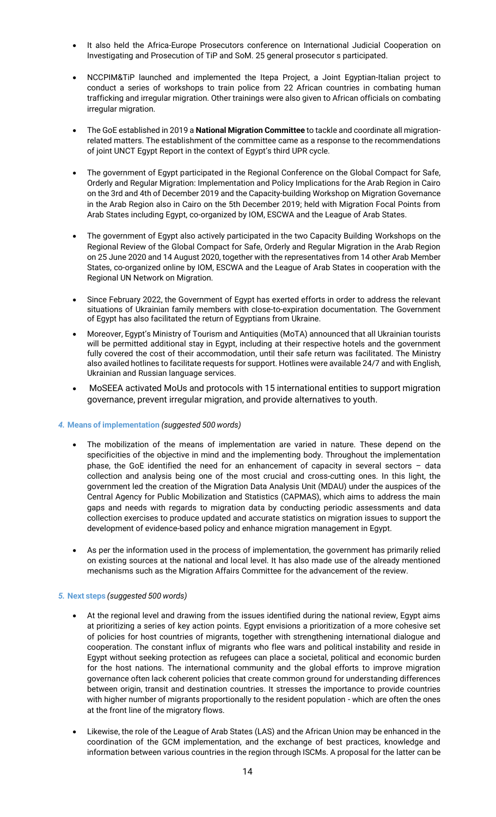- It also held the Africa-Europe Prosecutors conference on International Judicial Cooperation on Investigating and Prosecution of TiP and SoM. 25 general prosecutor s participated.
- NCCPIM&TiP launched and implemented the Itepa Project, a Joint Egyptian-Italian project to conduct a series of workshops to train police from 22 African countries in combating human trafficking and irregular migration. Other trainings were also given to African officials on combating irregular migration.
- The GoE established in 2019 a **National Migration Committee** to tackle and coordinate all migrationrelated matters. The establishment of the committee came as a response to the recommendations of joint UNCT Egypt Report in the context of Egypt's third UPR cycle.
- The government of Egypt participated in the Regional Conference on the Global Compact for Safe, Orderly and Regular Migration: Implementation and Policy Implications for the Arab Region in Cairo on the 3rd and 4th of December 2019 and the Capacity-building Workshop on Migration Governance in the Arab Region also in Cairo on the 5th December 2019; held with Migration Focal Points from Arab States including Egypt, co-organized by IOM, ESCWA and the League of Arab States.
- The government of Egypt also actively participated in the two Capacity Building Workshops on the Regional Review of the Global Compact for Safe, Orderly and Regular Migration in the Arab Region on 25 June 2020 and 14 August 2020, together with the representatives from 14 other Arab Member States, co-organized online by IOM, ESCWA and the League of Arab States in cooperation with the Regional UN Network on Migration.
- Since February 2022, the Government of Egypt has exerted efforts in order to address the relevant situations of Ukrainian family members with close-to-expiration documentation. The Government of Egypt has also facilitated the return of Egyptians from Ukraine.
- Moreover, Egypt's Ministry of Tourism and Antiquities (MoTA) announced that all Ukrainian tourists will be permitted additional stay in Egypt, including at their respective hotels and the government fully covered the cost of their accommodation, until their safe return was facilitated. The Ministry also availed hotlines to facilitate requests for support. Hotlines were available 24/7 and with English, Ukrainian and Russian language services.
- MoSEEA activated MoUs and protocols with 15 international entities to support migration governance, prevent irregular migration, and provide alternatives to youth.

## *4.* **Means of implementation** *(suggested 500 words)*

- The mobilization of the means of implementation are varied in nature. These depend on the specificities of the objective in mind and the implementing body. Throughout the implementation phase, the GoE identified the need for an enhancement of capacity in several sectors – data collection and analysis being one of the most crucial and cross-cutting ones. In this light, the government led the creation of the Migration Data Analysis Unit (MDAU) under the auspices of the Central Agency for Public Mobilization and Statistics (CAPMAS), which aims to address the main gaps and needs with regards to migration data by conducting periodic assessments and data collection exercises to produce updated and accurate statistics on migration issues to support the development of evidence-based policy and enhance migration management in Egypt.
- As per the information used in the process of implementation, the government has primarily relied on existing sources at the national and local level. It has also made use of the already mentioned mechanisms such as the Migration Affairs Committee for the advancement of the review.

## *5.* **Next steps** *(suggested 500 words)*

- At the regional level and drawing from the issues identified during the national review, Egypt aims at prioritizing a series of key action points. Egypt envisions a prioritization of a more cohesive set of policies for host countries of migrants, together with strengthening international dialogue and cooperation. The constant influx of migrants who flee wars and political instability and reside in Egypt without seeking protection as refugees can place a societal, political and economic burden for the host nations. The international community and the global efforts to improve migration governance often lack coherent policies that create common ground for understanding differences between origin, transit and destination countries. It stresses the importance to provide countries with higher number of migrants proportionally to the resident population - which are often the ones at the front line of the migratory flows.
- Likewise, the role of the League of Arab States (LAS) and the African Union may be enhanced in the coordination of the GCM implementation, and the exchange of best practices, knowledge and information between various countries in the region through ISCMs. A proposal for the latter can be